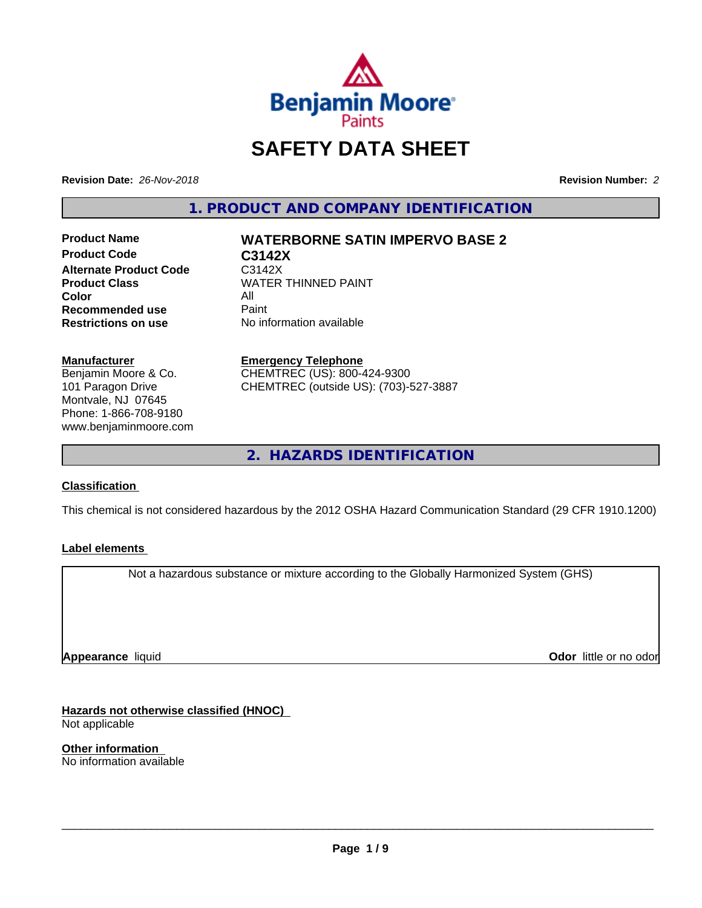

# **SAFETY DATA SHEET**

**Revision Date:** *26-Nov-2018* **Revision Number:** *2*

**1. PRODUCT AND COMPANY IDENTIFICATION**

**Product Name WATERBORNE SATIN IMPERVO BASE 2 Product Code C3142X**<br>Alternate Product Code C3142X **Alternate Product Code**<br>Product Class **Color** All<br> **Recommended use** Paint **Recommended use**<br>Restrictions on use

**WATER THINNED PAINT No information available** 

**Manufacturer** Benjamin Moore & Co. 101 Paragon Drive Montvale, NJ 07645 Phone: 1-866-708-9180 www.benjaminmoore.com

#### **Emergency Telephone**

CHEMTREC (US): 800-424-9300 CHEMTREC (outside US): (703)-527-3887

**2. HAZARDS IDENTIFICATION**

#### **Classification**

This chemical is not considered hazardous by the 2012 OSHA Hazard Communication Standard (29 CFR 1910.1200)

#### **Label elements**

Not a hazardous substance or mixture according to the Globally Harmonized System (GHS)

**Appearance** liquid

**Odor** little or no odor

**Hazards not otherwise classified (HNOC)** Not applicable

**Other information** No information available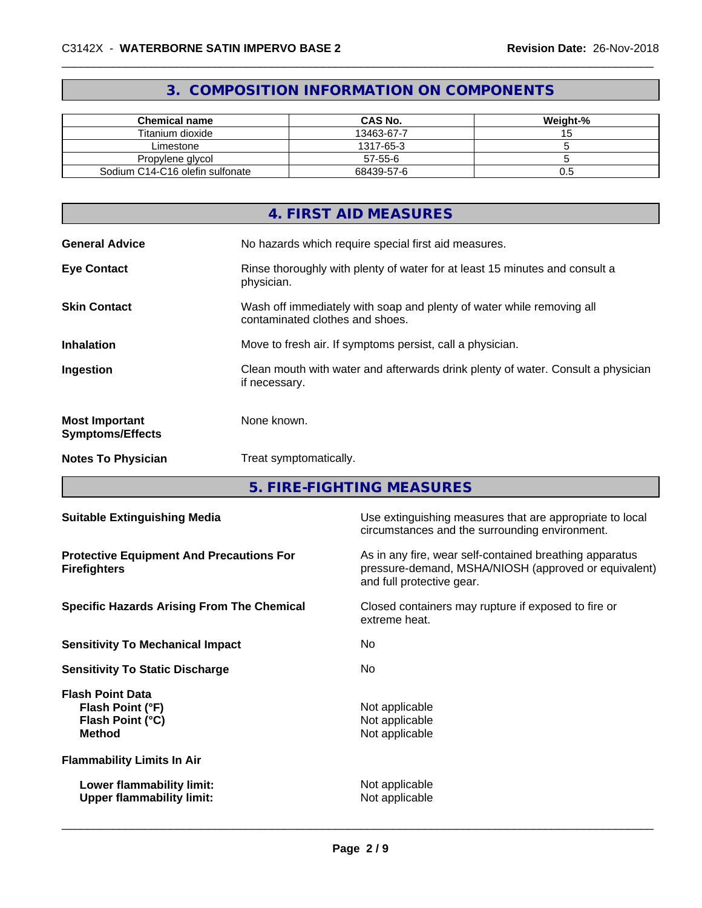## **3. COMPOSITION INFORMATION ON COMPONENTS**

| <b>Chemical name</b>            | <b>CAS No.</b> | Weight-% |
|---------------------------------|----------------|----------|
| Titanium dioxide                | 13463-67-7     | v        |
| Limestone                       | 1317-65-3      |          |
| Propylene glycol                | 57-55-6        |          |
| Sodium C14-C16 olefin sulfonate | 68439-57-6     | U.G      |

|                                                  | 4. FIRST AID MEASURES                                                                                    |
|--------------------------------------------------|----------------------------------------------------------------------------------------------------------|
| <b>General Advice</b>                            | No hazards which require special first aid measures.                                                     |
| <b>Eye Contact</b>                               | Rinse thoroughly with plenty of water for at least 15 minutes and consult a<br>physician.                |
| <b>Skin Contact</b>                              | Wash off immediately with soap and plenty of water while removing all<br>contaminated clothes and shoes. |
| <b>Inhalation</b>                                | Move to fresh air. If symptoms persist, call a physician.                                                |
| Ingestion                                        | Clean mouth with water and afterwards drink plenty of water. Consult a physician<br>if necessary.        |
| <b>Most Important</b><br><b>Symptoms/Effects</b> | None known.                                                                                              |
| <b>Notes To Physician</b>                        | Treat symptomatically.                                                                                   |

**5. FIRE-FIGHTING MEASURES**

| <b>Suitable Extinguishing Media</b>                                              | Use extinguishing measures that are appropriate to local<br>circumstances and the surrounding environment.                                   |
|----------------------------------------------------------------------------------|----------------------------------------------------------------------------------------------------------------------------------------------|
| <b>Protective Equipment And Precautions For</b><br><b>Firefighters</b>           | As in any fire, wear self-contained breathing apparatus<br>pressure-demand, MSHA/NIOSH (approved or equivalent)<br>and full protective gear. |
| <b>Specific Hazards Arising From The Chemical</b>                                | Closed containers may rupture if exposed to fire or<br>extreme heat.                                                                         |
| <b>Sensitivity To Mechanical Impact</b>                                          | No.                                                                                                                                          |
| <b>Sensitivity To Static Discharge</b>                                           | No.                                                                                                                                          |
| <b>Flash Point Data</b><br>Flash Point (°F)<br>Flash Point (°C)<br><b>Method</b> | Not applicable<br>Not applicable<br>Not applicable                                                                                           |
| <b>Flammability Limits In Air</b>                                                |                                                                                                                                              |
| Lower flammability limit:<br><b>Upper flammability limit:</b>                    | Not applicable<br>Not applicable                                                                                                             |
|                                                                                  |                                                                                                                                              |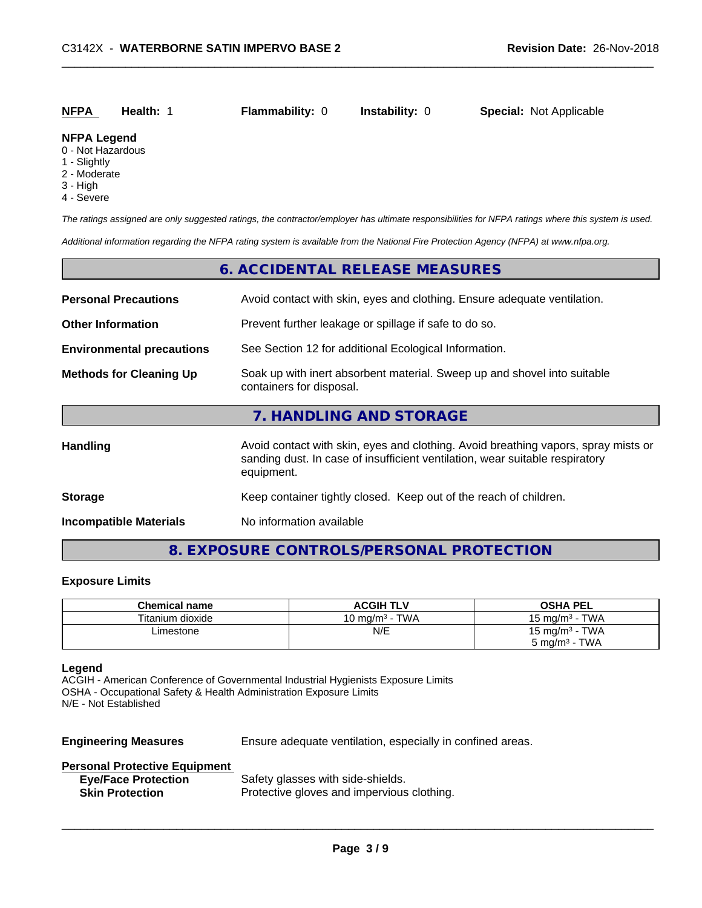| <b>NFPA</b><br><b>Instability:</b> 0<br><b>Special: Not Applicable</b><br><b>Flammability: 0</b><br>Health: 1 |  |
|---------------------------------------------------------------------------------------------------------------|--|
|---------------------------------------------------------------------------------------------------------------|--|

#### **NFPA Legend**

- 0 Not Hazardous
- 1 Slightly
- 2 Moderate
- 3 High
- 4 Severe

*The ratings assigned are only suggested ratings, the contractor/employer has ultimate responsibilities for NFPA ratings where this system is used.*

*Additional information regarding the NFPA rating system is available from the National Fire Protection Agency (NFPA) at www.nfpa.org.*

#### **6. ACCIDENTAL RELEASE MEASURES**

| <b>Personal Precautions</b>      | Avoid contact with skin, eyes and clothing. Ensure adequate ventilation.                                                                                                         |  |
|----------------------------------|----------------------------------------------------------------------------------------------------------------------------------------------------------------------------------|--|
| <b>Other Information</b>         | Prevent further leakage or spillage if safe to do so.                                                                                                                            |  |
| <b>Environmental precautions</b> | See Section 12 for additional Ecological Information.                                                                                                                            |  |
| <b>Methods for Cleaning Up</b>   | Soak up with inert absorbent material. Sweep up and shovel into suitable<br>containers for disposal.                                                                             |  |
|                                  | 7. HANDLING AND STORAGE                                                                                                                                                          |  |
| <b>Handling</b>                  | Avoid contact with skin, eyes and clothing. Avoid breathing vapors, spray mists or<br>sanding dust. In case of insufficient ventilation, wear suitable respiratory<br>equipment. |  |
| <b>Storage</b>                   | Keep container tightly closed. Keep out of the reach of children.                                                                                                                |  |
| <b>Incompatible Materials</b>    | No information available                                                                                                                                                         |  |

## **8. EXPOSURE CONTROLS/PERSONAL PROTECTION**

#### **Exposure Limits**

| <b>Chemical name</b> | <b>ACGIH TLV</b>                | <b>OSHA PEL</b>                       |
|----------------------|---------------------------------|---------------------------------------|
| Titanium dioxide     | · TWA<br>10 mg/m <sup>3</sup> - | - TWA<br>$15 \text{ ma/m}^3$          |
| ∟imestone            | N/E                             | - TWA<br>15 mg/m <sup>3</sup> $\cdot$ |
|                      |                                 | TWA<br>5 mg/m <sup>3</sup> -          |

#### **Legend**

ACGIH - American Conference of Governmental Industrial Hygienists Exposure Limits OSHA - Occupational Safety & Health Administration Exposure Limits N/E - Not Established

**Engineering Measures** Ensure adequate ventilation, especially in confined areas.

 $\overline{\phantom{a}}$  ,  $\overline{\phantom{a}}$  ,  $\overline{\phantom{a}}$  ,  $\overline{\phantom{a}}$  ,  $\overline{\phantom{a}}$  ,  $\overline{\phantom{a}}$  ,  $\overline{\phantom{a}}$  ,  $\overline{\phantom{a}}$  ,  $\overline{\phantom{a}}$  ,  $\overline{\phantom{a}}$  ,  $\overline{\phantom{a}}$  ,  $\overline{\phantom{a}}$  ,  $\overline{\phantom{a}}$  ,  $\overline{\phantom{a}}$  ,  $\overline{\phantom{a}}$  ,  $\overline{\phantom{a}}$ 

#### **Personal Protective Equipment**

| <b>Eye/Face Protection</b> | Safety glasses with side-shields.          |
|----------------------------|--------------------------------------------|
| <b>Skin Protection</b>     | Protective gloves and impervious clothing. |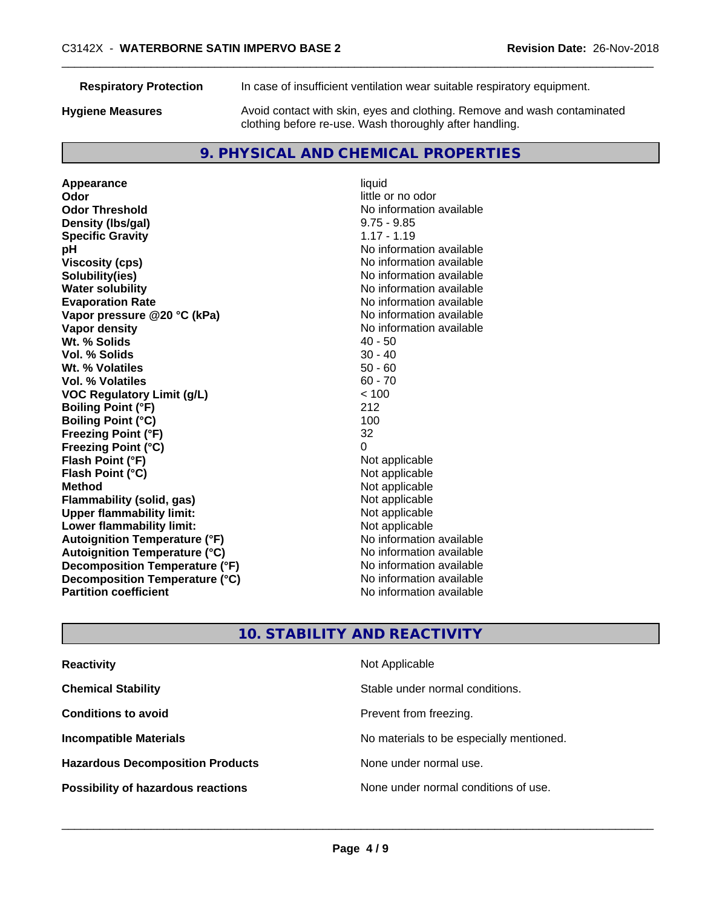**Respiratory Protection** In case of insufficient ventilation wear suitable respiratory equipment.

**Hygiene Measures** Avoid contact with skin, eyes and clothing. Remove and wash contaminated clothing before re-use. Wash thoroughly after handling.

## **9. PHYSICAL AND CHEMICAL PROPERTIES**

**Appearance** liquid **Odor** little or no odor **Odor Threshold**<br> **Density (Ibs/gal)**<br> **Density (Ibs/gal)**<br>
2.75 - 9.85 **Density (lbs/gal) Specific Gravity** 1.17 - 1.19 **pH** No information available **Viscosity (cps)** No information available in the Viscosity (cps) **Solubility(ies)** No information available **Water solubility** No information available **Evaporation Rate Evaporation Rate No information available Vapor pressure @20 °C (kPa)** No information available **Vapor density Vapor density No information available Wt. % Solids** 40 - 50 **Vol. % Solids** 30 - 40 **Wt. % Volatiles Vol. % Volatiles** 60 - 70 **VOC Regulatory Limit (g/L)** < 100 **Boiling Point (°F)** 212 **Boiling Point (°C)** 100 **Freezing Point (°F)** 32 **Freezing Point (°C)** 0 **Flash Point (°F)**<br> **Flash Point (°C)**<br> **Flash Point (°C)**<br> **C Flash Point (°C) Method** Not applicable **Flammability (solid, gas)** Not applicable Not applicable<br>
Upper flammability limit: Not applicable **Upper flammability limit:**<br> **Lower flammability limit:**<br>
Not applicable<br>
Not applicable **Lower flammability limit: Autoignition Temperature (°F)** No information available **Autoignition Temperature (°C)** No information available **Decomposition Temperature (°F)** No information available **Decomposition Temperature (°C)**<br> **Partition coefficient**<br> **Partition coefficient**<br> **No** information available

**No information available** 

## **10. STABILITY AND REACTIVITY**

| <b>Reactivity</b>                         | Not Applicable                           |
|-------------------------------------------|------------------------------------------|
| <b>Chemical Stability</b>                 | Stable under normal conditions.          |
| <b>Conditions to avoid</b>                | Prevent from freezing.                   |
| <b>Incompatible Materials</b>             | No materials to be especially mentioned. |
| <b>Hazardous Decomposition Products</b>   | None under normal use.                   |
| <b>Possibility of hazardous reactions</b> | None under normal conditions of use.     |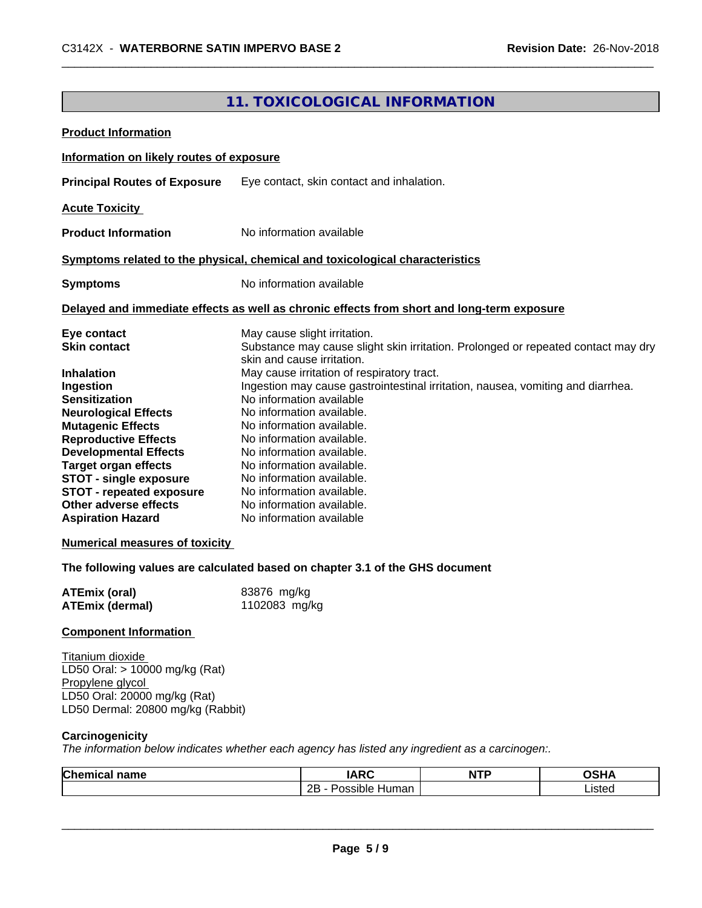## **11. TOXICOLOGICAL INFORMATION**

| Information on likely routes of exposure<br>Eye contact, skin contact and inhalation.<br>No information available<br><b>Product Information</b><br>Symptoms related to the physical, chemical and toxicological characteristics<br>No information available<br>Delayed and immediate effects as well as chronic effects from short and long-term exposure<br>May cause slight irritation.<br>Eye contact<br>Substance may cause slight skin irritation. Prolonged or repeated contact may dry<br>skin and cause irritation.<br>May cause irritation of respiratory tract.<br>Ingestion may cause gastrointestinal irritation, nausea, vomiting and diarrhea.<br>No information available<br>No information available.<br>No information available.<br>No information available.<br>No information available.<br>No information available.<br>No information available.<br>No information available.<br>No information available.<br>No information available<br>The following values are calculated based on chapter 3.1 of the GHS document<br><b>ATEmix (oral)</b><br>83876 mg/kg<br>1102083 mg/kg<br>Titanium dioxide<br>LD50 Oral: > 10000 mg/kg (Rat)<br>Propylene glycol<br>LD50 Oral: 20000 mg/kg (Rat)<br>LD50 Dermal: 20800 mg/kg (Rabbit)<br>Carcinogenicity<br>The information below indicates whether each agency has listed any ingredient as a carcinogen:.<br><b>Chemical name</b><br><b>IARC</b><br><b>OSHA</b><br><b>NTP</b> | <b>Product Information</b>            |                     |        |
|-----------------------------------------------------------------------------------------------------------------------------------------------------------------------------------------------------------------------------------------------------------------------------------------------------------------------------------------------------------------------------------------------------------------------------------------------------------------------------------------------------------------------------------------------------------------------------------------------------------------------------------------------------------------------------------------------------------------------------------------------------------------------------------------------------------------------------------------------------------------------------------------------------------------------------------------------------------------------------------------------------------------------------------------------------------------------------------------------------------------------------------------------------------------------------------------------------------------------------------------------------------------------------------------------------------------------------------------------------------------------------------------------------------------------------------------------|---------------------------------------|---------------------|--------|
|                                                                                                                                                                                                                                                                                                                                                                                                                                                                                                                                                                                                                                                                                                                                                                                                                                                                                                                                                                                                                                                                                                                                                                                                                                                                                                                                                                                                                                               |                                       |                     |        |
|                                                                                                                                                                                                                                                                                                                                                                                                                                                                                                                                                                                                                                                                                                                                                                                                                                                                                                                                                                                                                                                                                                                                                                                                                                                                                                                                                                                                                                               | <b>Principal Routes of Exposure</b>   |                     |        |
|                                                                                                                                                                                                                                                                                                                                                                                                                                                                                                                                                                                                                                                                                                                                                                                                                                                                                                                                                                                                                                                                                                                                                                                                                                                                                                                                                                                                                                               | <b>Acute Toxicity</b>                 |                     |        |
|                                                                                                                                                                                                                                                                                                                                                                                                                                                                                                                                                                                                                                                                                                                                                                                                                                                                                                                                                                                                                                                                                                                                                                                                                                                                                                                                                                                                                                               |                                       |                     |        |
|                                                                                                                                                                                                                                                                                                                                                                                                                                                                                                                                                                                                                                                                                                                                                                                                                                                                                                                                                                                                                                                                                                                                                                                                                                                                                                                                                                                                                                               |                                       |                     |        |
|                                                                                                                                                                                                                                                                                                                                                                                                                                                                                                                                                                                                                                                                                                                                                                                                                                                                                                                                                                                                                                                                                                                                                                                                                                                                                                                                                                                                                                               |                                       |                     |        |
|                                                                                                                                                                                                                                                                                                                                                                                                                                                                                                                                                                                                                                                                                                                                                                                                                                                                                                                                                                                                                                                                                                                                                                                                                                                                                                                                                                                                                                               | <b>Symptoms</b>                       |                     |        |
|                                                                                                                                                                                                                                                                                                                                                                                                                                                                                                                                                                                                                                                                                                                                                                                                                                                                                                                                                                                                                                                                                                                                                                                                                                                                                                                                                                                                                                               |                                       |                     |        |
|                                                                                                                                                                                                                                                                                                                                                                                                                                                                                                                                                                                                                                                                                                                                                                                                                                                                                                                                                                                                                                                                                                                                                                                                                                                                                                                                                                                                                                               |                                       |                     |        |
|                                                                                                                                                                                                                                                                                                                                                                                                                                                                                                                                                                                                                                                                                                                                                                                                                                                                                                                                                                                                                                                                                                                                                                                                                                                                                                                                                                                                                                               | <b>Skin contact</b>                   |                     |        |
|                                                                                                                                                                                                                                                                                                                                                                                                                                                                                                                                                                                                                                                                                                                                                                                                                                                                                                                                                                                                                                                                                                                                                                                                                                                                                                                                                                                                                                               |                                       |                     |        |
|                                                                                                                                                                                                                                                                                                                                                                                                                                                                                                                                                                                                                                                                                                                                                                                                                                                                                                                                                                                                                                                                                                                                                                                                                                                                                                                                                                                                                                               | <b>Inhalation</b>                     |                     |        |
|                                                                                                                                                                                                                                                                                                                                                                                                                                                                                                                                                                                                                                                                                                                                                                                                                                                                                                                                                                                                                                                                                                                                                                                                                                                                                                                                                                                                                                               | Ingestion                             |                     |        |
|                                                                                                                                                                                                                                                                                                                                                                                                                                                                                                                                                                                                                                                                                                                                                                                                                                                                                                                                                                                                                                                                                                                                                                                                                                                                                                                                                                                                                                               | <b>Sensitization</b>                  |                     |        |
|                                                                                                                                                                                                                                                                                                                                                                                                                                                                                                                                                                                                                                                                                                                                                                                                                                                                                                                                                                                                                                                                                                                                                                                                                                                                                                                                                                                                                                               | <b>Neurological Effects</b>           |                     |        |
|                                                                                                                                                                                                                                                                                                                                                                                                                                                                                                                                                                                                                                                                                                                                                                                                                                                                                                                                                                                                                                                                                                                                                                                                                                                                                                                                                                                                                                               | <b>Mutagenic Effects</b>              |                     |        |
|                                                                                                                                                                                                                                                                                                                                                                                                                                                                                                                                                                                                                                                                                                                                                                                                                                                                                                                                                                                                                                                                                                                                                                                                                                                                                                                                                                                                                                               | <b>Reproductive Effects</b>           |                     |        |
|                                                                                                                                                                                                                                                                                                                                                                                                                                                                                                                                                                                                                                                                                                                                                                                                                                                                                                                                                                                                                                                                                                                                                                                                                                                                                                                                                                                                                                               | <b>Developmental Effects</b>          |                     |        |
|                                                                                                                                                                                                                                                                                                                                                                                                                                                                                                                                                                                                                                                                                                                                                                                                                                                                                                                                                                                                                                                                                                                                                                                                                                                                                                                                                                                                                                               | <b>Target organ effects</b>           |                     |        |
|                                                                                                                                                                                                                                                                                                                                                                                                                                                                                                                                                                                                                                                                                                                                                                                                                                                                                                                                                                                                                                                                                                                                                                                                                                                                                                                                                                                                                                               | <b>STOT - single exposure</b>         |                     |        |
|                                                                                                                                                                                                                                                                                                                                                                                                                                                                                                                                                                                                                                                                                                                                                                                                                                                                                                                                                                                                                                                                                                                                                                                                                                                                                                                                                                                                                                               | <b>STOT - repeated exposure</b>       |                     |        |
|                                                                                                                                                                                                                                                                                                                                                                                                                                                                                                                                                                                                                                                                                                                                                                                                                                                                                                                                                                                                                                                                                                                                                                                                                                                                                                                                                                                                                                               | Other adverse effects                 |                     |        |
|                                                                                                                                                                                                                                                                                                                                                                                                                                                                                                                                                                                                                                                                                                                                                                                                                                                                                                                                                                                                                                                                                                                                                                                                                                                                                                                                                                                                                                               | <b>Aspiration Hazard</b>              |                     |        |
|                                                                                                                                                                                                                                                                                                                                                                                                                                                                                                                                                                                                                                                                                                                                                                                                                                                                                                                                                                                                                                                                                                                                                                                                                                                                                                                                                                                                                                               | <b>Numerical measures of toxicity</b> |                     |        |
|                                                                                                                                                                                                                                                                                                                                                                                                                                                                                                                                                                                                                                                                                                                                                                                                                                                                                                                                                                                                                                                                                                                                                                                                                                                                                                                                                                                                                                               |                                       |                     |        |
|                                                                                                                                                                                                                                                                                                                                                                                                                                                                                                                                                                                                                                                                                                                                                                                                                                                                                                                                                                                                                                                                                                                                                                                                                                                                                                                                                                                                                                               |                                       |                     |        |
|                                                                                                                                                                                                                                                                                                                                                                                                                                                                                                                                                                                                                                                                                                                                                                                                                                                                                                                                                                                                                                                                                                                                                                                                                                                                                                                                                                                                                                               | <b>ATEmix (dermal)</b>                |                     |        |
|                                                                                                                                                                                                                                                                                                                                                                                                                                                                                                                                                                                                                                                                                                                                                                                                                                                                                                                                                                                                                                                                                                                                                                                                                                                                                                                                                                                                                                               | <b>Component Information</b>          |                     |        |
|                                                                                                                                                                                                                                                                                                                                                                                                                                                                                                                                                                                                                                                                                                                                                                                                                                                                                                                                                                                                                                                                                                                                                                                                                                                                                                                                                                                                                                               |                                       |                     |        |
|                                                                                                                                                                                                                                                                                                                                                                                                                                                                                                                                                                                                                                                                                                                                                                                                                                                                                                                                                                                                                                                                                                                                                                                                                                                                                                                                                                                                                                               |                                       |                     |        |
|                                                                                                                                                                                                                                                                                                                                                                                                                                                                                                                                                                                                                                                                                                                                                                                                                                                                                                                                                                                                                                                                                                                                                                                                                                                                                                                                                                                                                                               |                                       |                     |        |
|                                                                                                                                                                                                                                                                                                                                                                                                                                                                                                                                                                                                                                                                                                                                                                                                                                                                                                                                                                                                                                                                                                                                                                                                                                                                                                                                                                                                                                               |                                       |                     |        |
|                                                                                                                                                                                                                                                                                                                                                                                                                                                                                                                                                                                                                                                                                                                                                                                                                                                                                                                                                                                                                                                                                                                                                                                                                                                                                                                                                                                                                                               |                                       |                     |        |
|                                                                                                                                                                                                                                                                                                                                                                                                                                                                                                                                                                                                                                                                                                                                                                                                                                                                                                                                                                                                                                                                                                                                                                                                                                                                                                                                                                                                                                               |                                       |                     |        |
|                                                                                                                                                                                                                                                                                                                                                                                                                                                                                                                                                                                                                                                                                                                                                                                                                                                                                                                                                                                                                                                                                                                                                                                                                                                                                                                                                                                                                                               |                                       |                     |        |
|                                                                                                                                                                                                                                                                                                                                                                                                                                                                                                                                                                                                                                                                                                                                                                                                                                                                                                                                                                                                                                                                                                                                                                                                                                                                                                                                                                                                                                               |                                       |                     |        |
|                                                                                                                                                                                                                                                                                                                                                                                                                                                                                                                                                                                                                                                                                                                                                                                                                                                                                                                                                                                                                                                                                                                                                                                                                                                                                                                                                                                                                                               |                                       | 2B - Possible Human | Listed |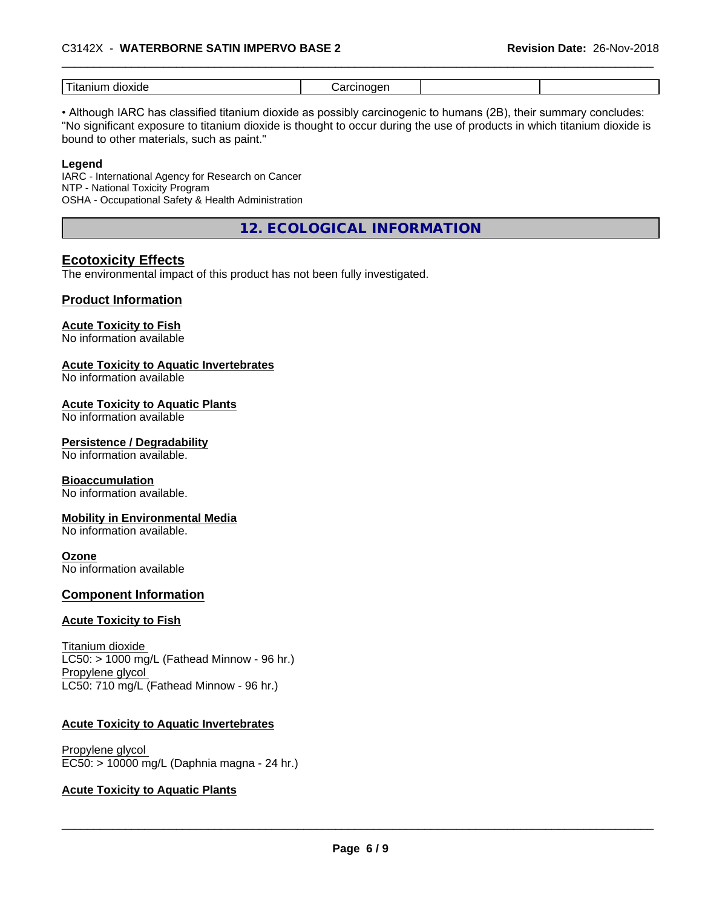#### \_\_\_\_\_\_\_\_\_\_\_\_\_\_\_\_\_\_\_\_\_\_\_\_\_\_\_\_\_\_\_\_\_\_\_\_\_\_\_\_\_\_\_\_\_\_\_\_\_\_\_\_\_\_\_\_\_\_\_\_\_\_\_\_\_\_\_\_\_\_\_\_\_\_\_\_\_\_\_\_\_\_\_\_\_\_\_\_\_\_\_\_\_ C3142X - **WATERBORNE SATIN IMPERVO BASE <sup>2</sup> Revision Date:** 26-Nov-2018

| $- - -$<br>$-1$<br>ार<br>OK<br>8 I I I I<br>ниг<br>- - - - |  |  |
|------------------------------------------------------------|--|--|
|                                                            |  |  |

• Although IARC has classified titanium dioxide as possibly carcinogenic to humans (2B), their summary concludes: "No significant exposure to titanium dioxide is thought to occur during the use of products in which titanium dioxide is bound to other materials, such as paint."

#### **Legend**

IARC - International Agency for Research on Cancer NTP - National Toxicity Program OSHA - Occupational Safety & Health Administration

**12. ECOLOGICAL INFORMATION**

### **Ecotoxicity Effects**

The environmental impact of this product has not been fully investigated.

#### **Product Information**

#### **Acute Toxicity to Fish**

No information available

#### **Acute Toxicity to Aquatic Invertebrates**

No information available

#### **Acute Toxicity to Aquatic Plants**

No information available

#### **Persistence / Degradability**

No information available.

#### **Bioaccumulation**

No information available.

#### **Mobility in Environmental Media**

No information available.

#### **Ozone**

No information available

#### **Component Information**

#### **Acute Toxicity to Fish**

Titanium dioxide  $LC50:$  > 1000 mg/L (Fathead Minnow - 96 hr.) Propylene glycol LC50: 710 mg/L (Fathead Minnow - 96 hr.)

#### **Acute Toxicity to Aquatic Invertebrates**

Propylene glycol EC50: > 10000 mg/L (Daphnia magna - 24 hr.)

#### **Acute Toxicity to Aquatic Plants**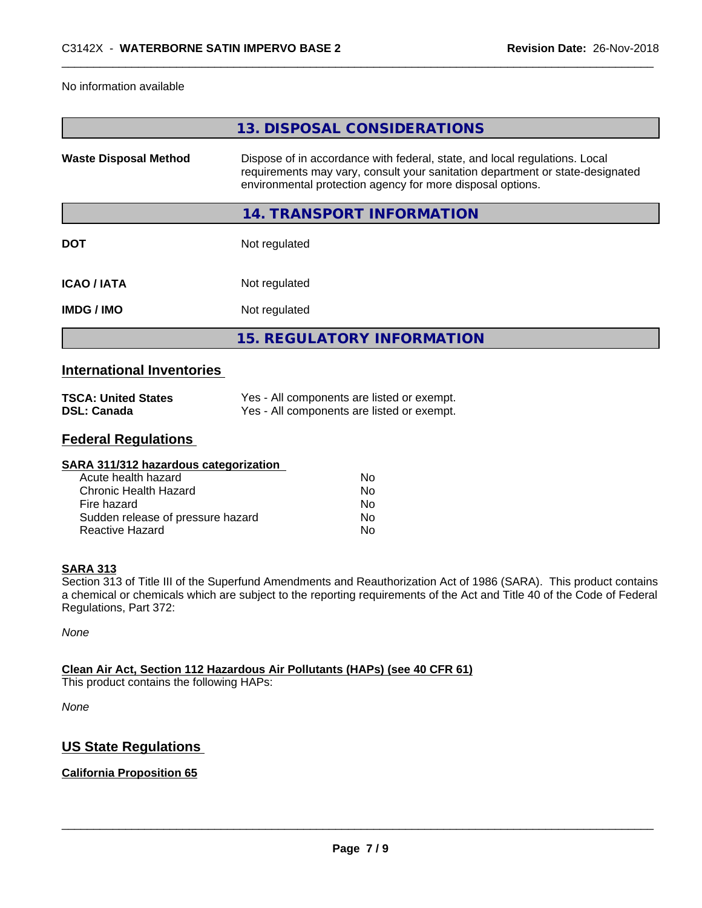#### No information available

|                              | 13. DISPOSAL CONSIDERATIONS                                                                                                                                                                                               |
|------------------------------|---------------------------------------------------------------------------------------------------------------------------------------------------------------------------------------------------------------------------|
| <b>Waste Disposal Method</b> | Dispose of in accordance with federal, state, and local regulations. Local<br>requirements may vary, consult your sanitation department or state-designated<br>environmental protection agency for more disposal options. |
|                              | 14. TRANSPORT INFORMATION                                                                                                                                                                                                 |
| <b>DOT</b>                   | Not regulated                                                                                                                                                                                                             |
| <b>ICAO / IATA</b>           | Not regulated                                                                                                                                                                                                             |
| <b>IMDG/IMO</b>              | Not regulated                                                                                                                                                                                                             |
|                              | <b>15. REGULATORY INFORMATION</b>                                                                                                                                                                                         |
|                              |                                                                                                                                                                                                                           |

### **International Inventories**

| <b>TSCA: United States</b> | Yes - All components are listed or exempt. |
|----------------------------|--------------------------------------------|
| <b>DSL: Canada</b>         | Yes - All components are listed or exempt. |

## **Federal Regulations**

| SARA 311/312 hazardous categorization |    |  |
|---------------------------------------|----|--|
| Acute health hazard                   | Nο |  |
| Chronic Health Hazard                 | No |  |
| Fire hazard                           | No |  |
| Sudden release of pressure hazard     | No |  |
| Reactive Hazard                       | No |  |

#### **SARA 313**

Section 313 of Title III of the Superfund Amendments and Reauthorization Act of 1986 (SARA). This product contains a chemical or chemicals which are subject to the reporting requirements of the Act and Title 40 of the Code of Federal Regulations, Part 372:

*None*

#### **Clean Air Act,Section 112 Hazardous Air Pollutants (HAPs) (see 40 CFR 61)**

This product contains the following HAPs:

*None*

## **US State Regulations**

#### **California Proposition 65**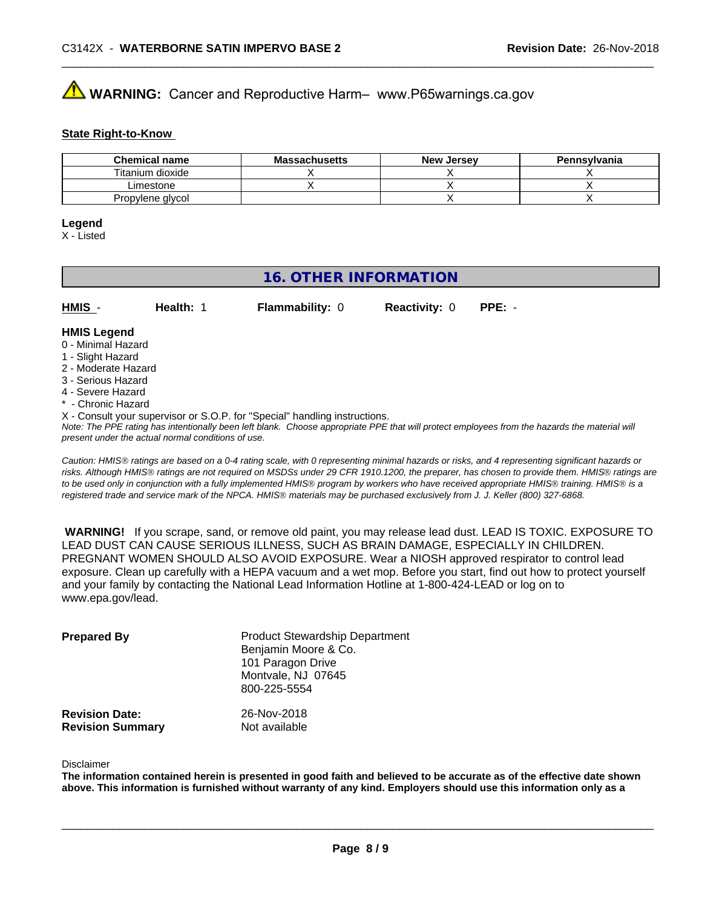# **AVIMARNING:** Cancer and Reproductive Harm– www.P65warnings.ca.gov

#### **State Right-to-Know**

| <b>Chemical name</b> | <b>Massachusetts</b> | <b>New Jersey</b> | Pennsylvania |
|----------------------|----------------------|-------------------|--------------|
| Titanium dioxide     |                      |                   |              |
| ∟imestone_           |                      |                   |              |
| Propylene glycol     |                      |                   |              |

#### **Legend**

X - Listed

## **16. OTHER INFORMATION**

| HMIS          | Health: 1 | <b>Flammability: 0</b> | <b>Reactivity: 0 PPE: -</b> |  |
|---------------|-----------|------------------------|-----------------------------|--|
| _ _ _ _ _ _ _ |           |                        |                             |  |

#### **HMIS Legend** 0 - Minimal Hazard

- 1 Slight Hazard
- 2 Moderate Hazard
- 3 Serious Hazard
- 4 Severe Hazard
- \* Chronic Hazard
- X Consult your supervisor or S.O.P. for "Special" handling instructions.

*Note: The PPE rating has intentionally been left blank. Choose appropriate PPE that will protect employees from the hazards the material will present under the actual normal conditions of use.*

*Caution: HMISÒ ratings are based on a 0-4 rating scale, with 0 representing minimal hazards or risks, and 4 representing significant hazards or risks. Although HMISÒ ratings are not required on MSDSs under 29 CFR 1910.1200, the preparer, has chosen to provide them. HMISÒ ratings are to be used only in conjunction with a fully implemented HMISÒ program by workers who have received appropriate HMISÒ training. HMISÒ is a registered trade and service mark of the NPCA. HMISÒ materials may be purchased exclusively from J. J. Keller (800) 327-6868.*

 **WARNING!** If you scrape, sand, or remove old paint, you may release lead dust. LEAD IS TOXIC. EXPOSURE TO LEAD DUST CAN CAUSE SERIOUS ILLNESS, SUCH AS BRAIN DAMAGE, ESPECIALLY IN CHILDREN. PREGNANT WOMEN SHOULD ALSO AVOID EXPOSURE.Wear a NIOSH approved respirator to control lead exposure. Clean up carefully with a HEPA vacuum and a wet mop. Before you start, find out how to protect yourself and your family by contacting the National Lead Information Hotline at 1-800-424-LEAD or log on to www.epa.gov/lead.

| <b>Prepared By</b>                               | <b>Product Stewardship Department</b><br>Benjamin Moore & Co.<br>101 Paragon Drive<br>Montvale, NJ 07645<br>800-225-5554 |  |
|--------------------------------------------------|--------------------------------------------------------------------------------------------------------------------------|--|
| <b>Revision Date:</b><br><b>Revision Summary</b> | 26-Nov-2018<br>Not available                                                                                             |  |

#### Disclaimer

The information contained herein is presented in good faith and believed to be accurate as of the effective date shown above. This information is furnished without warranty of any kind. Employers should use this information only as a